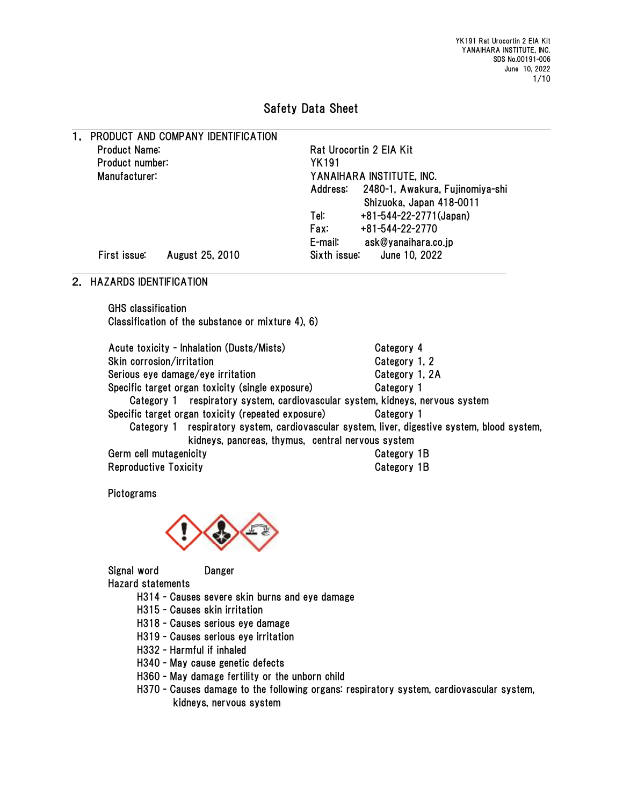## Safety Data Sheet

| 1. |                      | PRODUCT AND COMPANY IDENTIFICATION |                           |                                          |  |  |
|----|----------------------|------------------------------------|---------------------------|------------------------------------------|--|--|
|    | <b>Product Name:</b> |                                    |                           | Rat Urocortin 2 EIA Kit                  |  |  |
|    | Product number:      |                                    | <b>YK191</b>              |                                          |  |  |
|    | Manufacturer:        |                                    | YANAIHARA INSTITUTE, INC. |                                          |  |  |
|    |                      |                                    |                           | Address: 2480-1, Awakura, Fujinomiya-shi |  |  |
|    |                      |                                    |                           | Shizuoka, Japan 418-0011                 |  |  |
|    |                      |                                    | Tel:                      | $+81 - 544 - 22 - 2771$ (Japan)          |  |  |
|    |                      |                                    | Fax:                      | +81-544-22-2770                          |  |  |
|    |                      |                                    | E-mail:                   | ask@yanaihara.co.jp                      |  |  |
|    | First issue:         | August 25, 2010                    | Sixth issue:              | June 10, 2022                            |  |  |

## 2. HAZARDS IDENTIFICATION

GHS classification Classification of the substance or mixture 4), 6)

| Acute toxicity - Inhalation (Dusts/Mists)                                                    | Category 4     |
|----------------------------------------------------------------------------------------------|----------------|
| Skin corrosion/irritation                                                                    | Category 1, 2  |
| Serious eye damage/eye irritation                                                            | Category 1, 2A |
| Specific target organ toxicity (single exposure)                                             | Category 1     |
| Category 1 respiratory system, cardiovascular system, kidneys, nervous system                |                |
| Specific target organ toxicity (repeated exposure)                                           | Category 1     |
| Category 1 respiratory system, cardiovascular system, liver, digestive system, blood system, |                |
| kidneys, pancreas, thymus, central nervous system                                            |                |
| Germ cell mutagenicity                                                                       | Category 1B    |
| <b>Reproductive Toxicity</b>                                                                 | Category 1B    |

Pictograms



Signal word Danger Hazard statements

- H314 Causes severe skin burns and eye damage
- H315 Causes skin irritation
- H318 Causes serious eye damage
- H319 Causes serious eye irritation
- H332 Harmful if inhaled
- H340 May cause genetic defects
- H360 May damage fertility or the unborn child
- H370 Causes damage to the following organs: respiratory system, cardiovascular system, kidneys, nervous system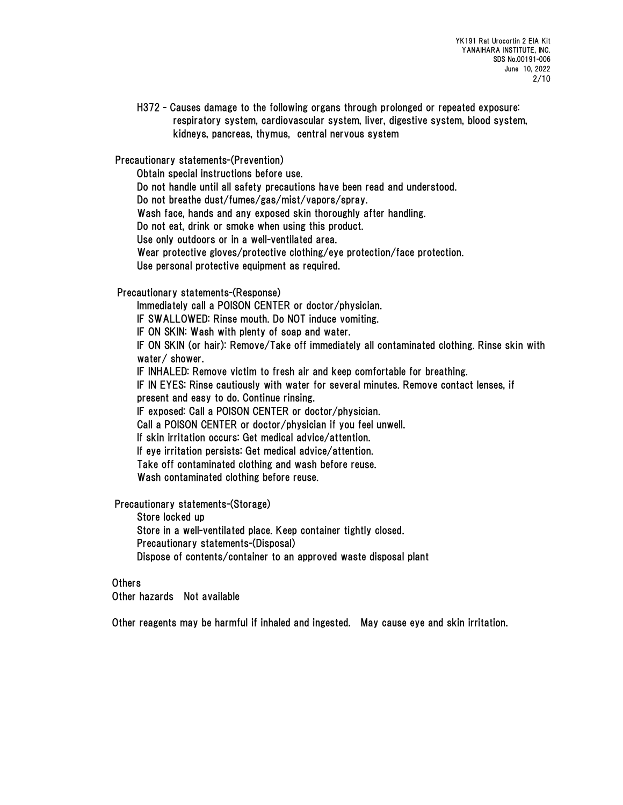H372 - Causes damage to the following organs through prolonged or repeated exposure: respiratory system, cardiovascular system, liver, digestive system, blood system, kidneys, pancreas, thymus, central nervous system

Precautionary statements-(Prevention)

Obtain special instructions before use.

Do not handle until all safety precautions have been read and understood.

Do not breathe dust/fumes/gas/mist/vapors/spray.

Wash face, hands and any exposed skin thoroughly after handling.

Do not eat, drink or smoke when using this product.

Use only outdoors or in a well-ventilated area.

Wear protective gloves/protective clothing/eye protection/face protection.

Use personal protective equipment as required.

Precautionary statements-(Response)

Immediately call a POISON CENTER or doctor/physician.

IF SWALLOWED: Rinse mouth. Do NOT induce vomiting.

IF ON SKIN: Wash with plenty of soap and water.

IF ON SKIN (or hair): Remove/Take off immediately all contaminated clothing. Rinse skin with water/ shower.

IF INHALED: Remove victim to fresh air and keep comfortable for breathing.

IF IN EYES: Rinse cautiously with water for several minutes. Remove contact lenses, if

present and easy to do. Continue rinsing.

IF exposed: Call a POISON CENTER or doctor/physician.

Call a POISON CENTER or doctor/physician if you feel unwell.

If skin irritation occurs: Get medical advice/attention.

If eye irritation persists: Get medical advice/attention.

Take off contaminated clothing and wash before reuse.

Wash contaminated clothing before reuse.

Precautionary statements-(Storage)

Store locked up

Store in a well-ventilated place. Keep container tightly closed.

Precautionary statements-(Disposal)

Dispose of contents/container to an approved waste disposal plant

## Others

Other hazards Not available

Other reagents may be harmful if inhaled and ingested. May cause eye and skin irritation.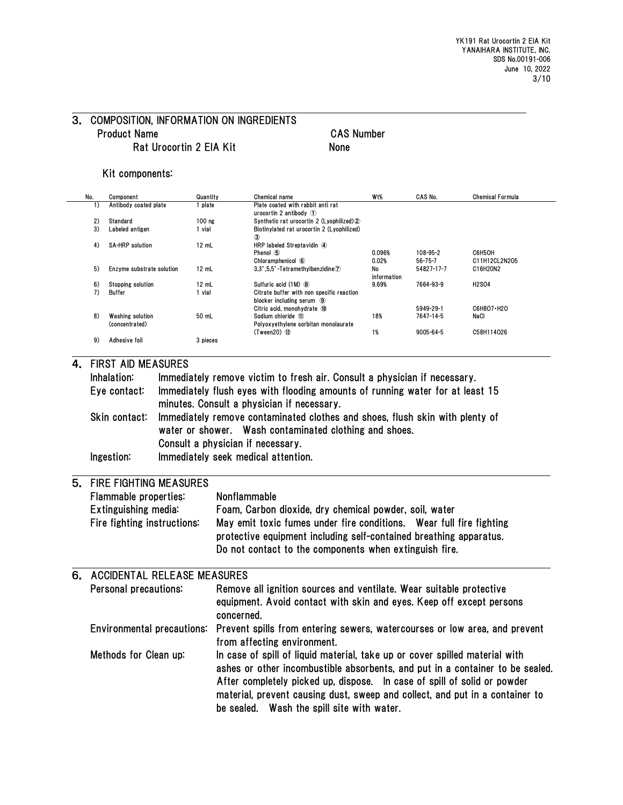## 3. COMPOSITION, INFORMATION ON INGREDIENTS Product Name CAS Number Rat Urocortin 2 EIA Kit
None

#### Kit components:

| No. | Component                 | Quantity        | Chemical name                                        | W <sub>t</sub> % | CAS No.         | <b>Chemical Formula</b> |
|-----|---------------------------|-----------------|------------------------------------------------------|------------------|-----------------|-------------------------|
| 1)  | Antibody coated plate     | plate           | Plate coated with rabbit anti rat                    |                  |                 |                         |
|     |                           |                 | urocortin 2 antibody $(1)$                           |                  |                 |                         |
| 2)  | Standard                  | $100$ ng        | Synthetic rat urocortin 2 (Lyophilized) <sup>2</sup> |                  |                 |                         |
| 3)  | Labeled antigen           | 1 vial          | Biotinvlated rat urocortin 2 (Lyophilized)<br>3      |                  |                 |                         |
| 4)  | <b>SA-HRP</b> solution    | $12$ mL         | HRP labeled Streptavidin 4                           |                  |                 |                         |
|     |                           |                 | Phenol (5)                                           | 0.096%           | 108-95-2        | C6H5OH                  |
|     |                           |                 | Chloramphenicol 6                                    | 0.02%            | 56-75-7         | C11H12CL2N2O5           |
| 5)  | Enzyme substrate solution | $12 \text{ mL}$ | $3,3',5,5'$ -Tetramethylbenzidine $\mathcal D$       | No               | 54827-17-7      | C16H20N2                |
|     |                           |                 |                                                      | information      |                 |                         |
| 6)  | <b>Stopping solution</b>  | $12$ mL         | Sulfuric acid (1M) 8                                 | 9.69%            | 7664-93-9       | <b>H2SO4</b>            |
| 7)  | <b>Buffer</b>             | 1 vial          | Citrate buffer with non specific reaction            |                  |                 |                         |
|     |                           |                 | blocker including serum 9                            |                  |                 |                         |
|     |                           |                 | Citric acid. monohydrate 10                          |                  | 5949-29-1       | C6H8O7-H2O              |
| 8)  | <b>Washing solution</b>   | 50 mL           | Sodium chloride 11                                   | 18%              | 7647-14-5       | NaCl                    |
|     | (concentrated)            |                 | Polvox vethylene sorbitan monolaurate                |                  |                 |                         |
|     |                           |                 | $(Tween20)$ $(12)$                                   | 1%               | $9005 - 64 - 5$ | C58H114026              |
| 9)  | Adhesive foil             | 3 pieces        |                                                      |                  |                 |                         |
|     |                           |                 |                                                      |                  |                 |                         |

#### 4. FIRST AID MEASURES

| Inhalation:   | Immediately remove victim to fresh air. Consult a physician if necessary.     |
|---------------|-------------------------------------------------------------------------------|
| Eye contact:  | Immediately flush eyes with flooding amounts of running water for at least 15 |
|               | minutes. Consult a physician if necessary.                                    |
| Skin contact: | Immediately remove contaminated clothes and shoes, flush skin with plenty of  |
|               | water or shower. Wash contaminated clothing and shoes.                        |
|               | Consult a physician if necessary.                                             |
| Ingestion:    | Immediately seek medical attention.                                           |
|               |                                                                               |

## 5. FIRE FIGHTING MEASURES Flammable properties: Nonflammable

| Extinguishing media:        | Foam, Carbon dioxide, dry chemical powder, soil, water              |
|-----------------------------|---------------------------------------------------------------------|
| Fire fighting instructions: | May emit toxic fumes under fire conditions. Wear full fire fighting |
|                             | protective equipment including self-contained breathing apparatus.  |
|                             | Do not contact to the components when extinguish fire.              |

## 6. ACCIDENTAL RELEASE MEASURES Personal precautions: Remove all ignition sources and ventilate. Wear suitable protective equipment. Avoid contact with skin and eyes. Keep off except persons concerned.

|                                                                                  | Environmental precautions: Prevent spills from entering sewers, watercourses or low area, and prevent         |
|----------------------------------------------------------------------------------|---------------------------------------------------------------------------------------------------------------|
|                                                                                  | from affecting environment.                                                                                   |
| $\mathbf{M}$ and $\mathbf{L}$ and $\mathbf{L}$ and $\mathbf{M}$ are $\mathbf{M}$ | . Na mara a shekara 1980 na katika Malaysia na kata sa mara a sa sa sa sa 1980 na sana a ta sa kasa ta sa tin |

Methods for Clean up: In case of spill of liquid material, take up or cover spilled material with ashes or other incombustible absorbents, and put in a container to be sealed. After completely picked up, dispose. In case of spill of solid or powder material, prevent causing dust, sweep and collect, and put in a container to be sealed. Wash the spill site with water.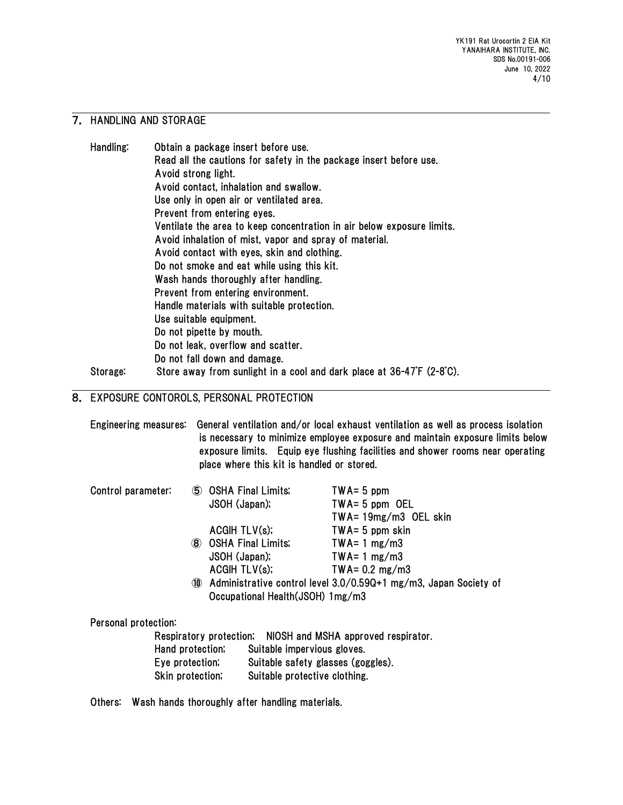## 7. HANDLING AND STORAGE

| Handling:         | Obtain a package insert before use.                                                      |
|-------------------|------------------------------------------------------------------------------------------|
|                   | Read all the cautions for safety in the package insert before use.                       |
|                   | Avoid strong light.                                                                      |
|                   | Avoid contact, inhalation and swallow.                                                   |
|                   | Use only in open air or ventilated area.                                                 |
|                   | Prevent from entering eyes.                                                              |
|                   | Ventilate the area to keep concentration in air below exposure limits.                   |
|                   | Avoid inhalation of mist, vapor and spray of material.                                   |
|                   | Avoid contact with eyes, skin and clothing.                                              |
|                   | Do not smoke and eat while using this kit.                                               |
|                   | Wash hands thoroughly after handling.                                                    |
|                   | Prevent from entering environment.                                                       |
|                   | Handle materials with suitable protection.                                               |
|                   | Use suitable equipment.                                                                  |
|                   | Do not pipette by mouth.                                                                 |
|                   | Do not leak, overflow and scatter.                                                       |
|                   | Do not fall down and damage.                                                             |
| $0 + \frac{1}{2}$ | Chara away from auplicht in a soal and deric place at $96.17^{\circ}$ (0.0 $^{\circ}$ 0) |

## Storage: Store away from sunlight in a cool and dark place at 36-47F (2-8°C).

# 8. EXPOSURE CONTOROLS, PERSONAL PROTECTION

|                      |                        | place where this kit is handled or stored. | Engineering measures: General ventilation and/or local exhaust ventilation as well as process isolation<br>is necessary to minimize employee exposure and maintain exposure limits below<br>exposure limits. Equip eye flushing facilities and shower rooms near operating |
|----------------------|------------------------|--------------------------------------------|----------------------------------------------------------------------------------------------------------------------------------------------------------------------------------------------------------------------------------------------------------------------------|
| Control parameter:   | (5) OSHA Final Limits; |                                            | $TWA = 5$ ppm                                                                                                                                                                                                                                                              |
|                      | JSOH (Japan);          |                                            | $TWA = 5$ ppm OEL                                                                                                                                                                                                                                                          |
|                      |                        |                                            | $TWA = 19mg/m3$ OEL skin                                                                                                                                                                                                                                                   |
|                      | ACGHTLV(s);            |                                            | $TWA = 5$ ppm skin                                                                                                                                                                                                                                                         |
|                      | (8) OSHA Final Limits; |                                            | $TWA = 1 mg/m3$                                                                                                                                                                                                                                                            |
|                      | JSOH (Japan);          |                                            | $TWA = 1 mg/m3$                                                                                                                                                                                                                                                            |
|                      |                        | ACGIH TLV(s);                              | TWA= $0.2 \text{ mg/m3}$                                                                                                                                                                                                                                                   |
|                      | (10)                   |                                            | Administrative control level 3.0/0.59Q+1 mg/m3, Japan Society of                                                                                                                                                                                                           |
|                      |                        | Occupational Health (JSOH) 1mg/m3          |                                                                                                                                                                                                                                                                            |
| Personal protection: |                        |                                            |                                                                                                                                                                                                                                                                            |
|                      |                        |                                            | Respiratory protection; NIOSH and MSHA approved respirator.                                                                                                                                                                                                                |
|                      | Hand protection;       | Suitable impervious gloves.                |                                                                                                                                                                                                                                                                            |
|                      | Eye protection;        |                                            | Suitable safety glasses (goggles).                                                                                                                                                                                                                                         |
| Skin protection,     |                        | Suitable protective clothing.              |                                                                                                                                                                                                                                                                            |

Others: Wash hands thoroughly after handling materials.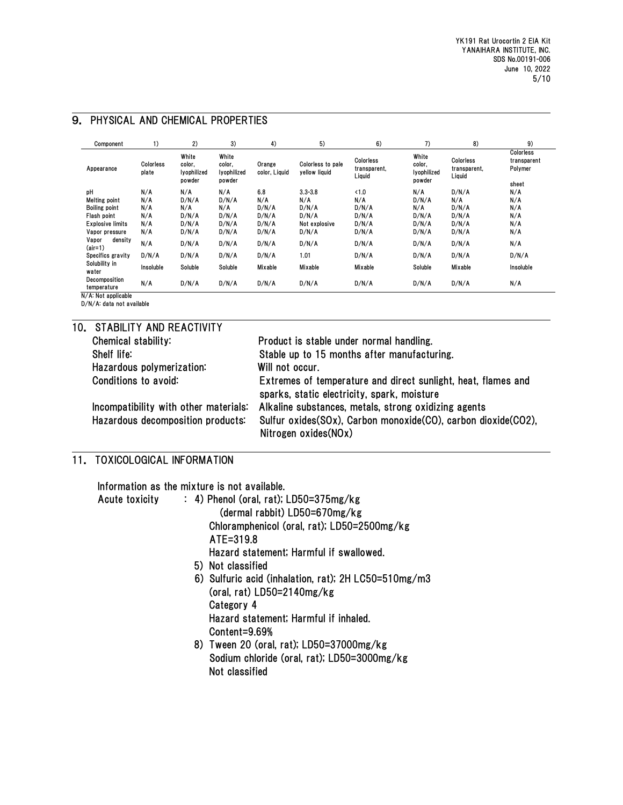| Component                     | 1)                 | 2)                                       | 3)                                       | 4)                      | 5)                                 | 6)                                  | 7)                                       | 8)                                  | 9)                                           |
|-------------------------------|--------------------|------------------------------------------|------------------------------------------|-------------------------|------------------------------------|-------------------------------------|------------------------------------------|-------------------------------------|----------------------------------------------|
| Appearance                    | Colorless<br>plate | White<br>color.<br>lyophilized<br>powder | White<br>color,<br>lyophilized<br>powder | Orange<br>color, Liquid | Colorless to pale<br>yellow liquid | Colorless<br>transparent,<br>Liquid | White<br>color,<br>lyophilized<br>powder | Colorless<br>transparent,<br>Liquid | Colorless<br>transparent<br>Polymer<br>sheet |
| pH                            | N/A                | N/A                                      | N/A                                      | 6.8                     | $3.3 - 3.8$                        | <1.0                                | N/A                                      | D/N/A                               | N/A                                          |
| Melting point                 | N/A                | D/N/A                                    | D/N/A                                    | N/A                     | N/A                                | N/A                                 | D/N/A                                    | N/A                                 | N/A                                          |
| <b>Boiling point</b>          | N/A                | N/A                                      | N/A                                      | D/N/A                   | D/N/A                              | D/N/A                               | N/A                                      | D/N/A                               | N/A                                          |
| Flash point                   | N/A                | D/N/A                                    | D/N/A                                    | D/N/A                   | D/N/A                              | D/N/A                               | D/N/A                                    | D/N/A                               | N/A                                          |
| <b>Explosive limits</b>       | N/A                | D/N/A                                    | D/N/A                                    | D/N/A                   | Not explosive                      | D/N/A                               | D/N/A                                    | D/N/A                               | N/A                                          |
| Vapor pressure                | N/A                | D/N/A                                    | D/N/A                                    | D/N/A                   | D/N/A                              | D/N/A                               | D/N/A                                    | D/N/A                               | N/A                                          |
| Vapor<br>density<br>$(air=1)$ | N/A                | D/N/A                                    | D/N/A                                    | D/N/A                   | D/N/A                              | D/N/A                               | D/N/A                                    | D/N/A                               | N/A                                          |
| Specifics gravity             | D/N/A              | D/N/A                                    | D/N/A                                    | D/N/A                   | 1.01                               | D/N/A                               | D/N/A                                    | D/N/A                               | D/N/A                                        |
| Solubility in<br>water        | Insoluble          | Soluble                                  | Soluble                                  | Mixable                 | Mixable                            | Mixable                             | Soluble                                  | Mixable                             | Insoluble                                    |
| Decomposition<br>temperature  | N/A                | D/N/A                                    | D/N/A                                    | D/N/A                   | D/N/A                              | D/N/A                               | D/N/A                                    | D/N/A                               | N/A                                          |

#### 9. PHYSICAL AND CHEMICAL PROPERTIES

N/A: Not applicable D/N/A: data not available

|  | 10. STABILITY AND REACTIVITY          |                                                                                                              |  |  |  |  |  |
|--|---------------------------------------|--------------------------------------------------------------------------------------------------------------|--|--|--|--|--|
|  | Chemical stability:                   | Product is stable under normal handling.                                                                     |  |  |  |  |  |
|  | Shelf life:                           | Stable up to 15 months after manufacturing.                                                                  |  |  |  |  |  |
|  | Hazardous polymerization:             | Will not occur.                                                                                              |  |  |  |  |  |
|  | Conditions to avoid:                  | Extremes of temperature and direct sunlight, heat, flames and<br>sparks, static electricity, spark, moisture |  |  |  |  |  |
|  | Incompatibility with other materials: | Alkaline substances, metals, strong oxidizing agents                                                         |  |  |  |  |  |
|  | Hazardous decomposition products:     | Sulfur oxides(SOx), Carbon monoxide(CO), carbon dioxide(CO2),<br>Nitrogen oxides(NOx)                        |  |  |  |  |  |

# 11. TOXICOLOGICAL INFORMATION

Information as the mixture is not available.

| <b>Acute toxicity</b> | $: 4)$ Phenol (oral, rat); LD50=375mg/kg             |
|-----------------------|------------------------------------------------------|
|                       | (dermal rabbit) LD50=670mg/kg                        |
|                       | Chloramphenicol (oral, rat); LD50=2500mg/kg          |
|                       | ATE=319.8                                            |
|                       | Hazard statement; Harmful if swallowed.              |
|                       | 5) Not classified                                    |
|                       | 6) Sulfuric acid (inhalation, rat); 2H LC50=510mg/m3 |
|                       | (oral, rat) $LD50=2140mg/kg$                         |
|                       | Category 4                                           |
|                       | Hazard statement; Harmful if inhaled.                |
|                       | Content=9.69%                                        |
|                       | 8) Tween 20 (oral, rat); LD50=37000mg/kg             |
|                       | Sodium chloride (oral, rat); LD50=3000mg/kg          |
|                       | Not classified                                       |
|                       |                                                      |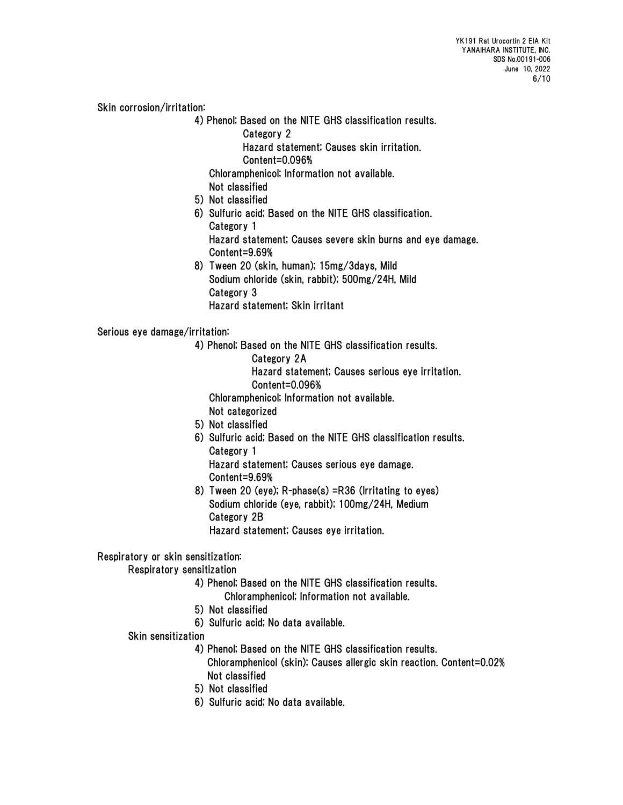Skin corrosion/irritation:

- 4) Phenol; Based on the NITE GHS classification results.
	- Category 2

Hazard statement; Causes skin irritation.

Content=0.096%

Chloramphenicol; Information not available.

- Not classified
- 5) Not classified
- 6) Sulfuric acid; Based on the NITE GHS classification. Category 1

 Hazard statement; Causes severe skin burns and eye damage. Content=9.69%

 8) Tween 20 (skin, human); 15mg/3days, Mild Sodium chloride (skin, rabbit); 500mg/24H, Mild Category 3 Hazard statement; Skin irritant

Serious eye damage/irritation:

- 4) Phenol; Based on the NITE GHS classification results.
	- Category 2A
	- Hazard statement; Causes serious eye irritation. Content=0.096%
	- Chloramphenicol; Information not available.

Not categorized

- 5) Not classified
- 6) Sulfuric acid; Based on the NITE GHS classification results. Category 1 Hazard statement; Causes serious eye damage.
	- Content=9.69%
- 8) Tween 20 (eye); R-phase(s) =R36 (Irritating to eyes) Sodium chloride (eye, rabbit); 100mg/24H, Medium Category 2B

Hazard statement; Causes eye irritation.

## Respiratory or skin sensitization:

Respiratory sensitization

- 4) Phenol; Based on the NITE GHS classification results.
	- Chloramphenicol; Information not available.
- 5) Not classified
- 6) Sulfuric acid; No data available.
- Skin sensitization
	- 4) Phenol; Based on the NITE GHS classification results.
		- Chloramphenicol (skin); Causes allergic skin reaction. Content=0.02% Not classified
	- 5) Not classified
	- 6) Sulfuric acid; No data available.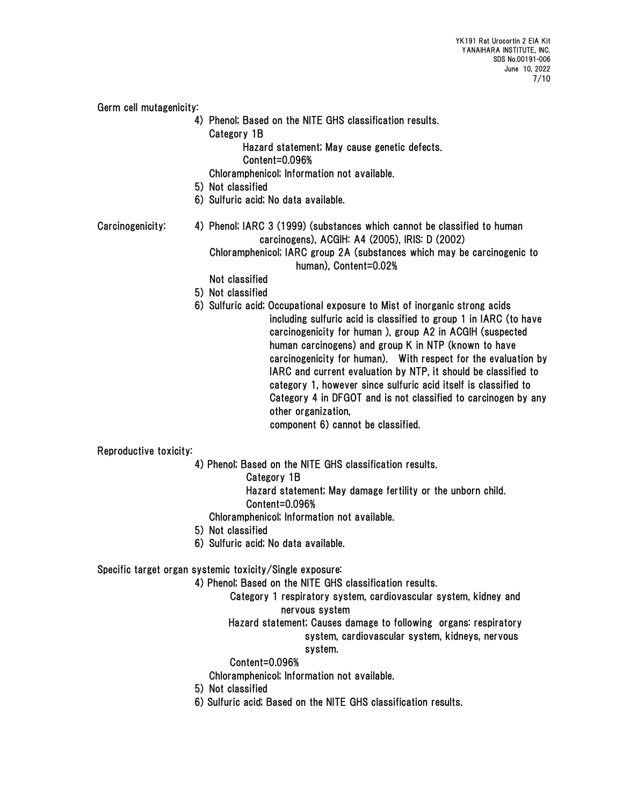Germ cell mutagenicity:

 4) Phenol; Based on the NITE GHS classification results. Category 1B

Hazard statement; May cause genetic defects.

Content=0.096%

Chloramphenicol; Information not available.

- 5) Not classified
- 6) Sulfuric acid; No data available.
- Carcinogenicity: 4) Phenol; IARC 3 (1999) (substances which cannot be classified to human carcinogens), ACGIH: A4 (2005), IRIS: D (2002) Chloramphenicol; IARC group 2A (substances which may be carcinogenic to human), Content=0.02%

Not classified

- 5) Not classified
- 
- 6) Sulfuric acid; Occupational exposure to Mist of inorganic strong acids including sulfuric acid is classified to group 1 in IARC (to have carcinogenicity for human ), group A2 in ACGIH (suspected human carcinogens) and group K in NTP (known to have carcinogenicity for human). With respect for the evaluation by IARC and current evaluation by NTP, it should be classified to category 1, however since sulfuric acid itself is classified to Category 4 in DFGOT and is not classified to carcinogen by any other organization, component 6) cannot be classified.

Reproductive toxicity:

- 4) Phenol; Based on the NITE GHS classification results.
	- Category 1B
	- Hazard statement; May damage fertility or the unborn child.
	- Content=0.096%
	- Chloramphenicol; Information not available.
- 5) Not classified
- 6) Sulfuric acid; No data available.

## Specific target organ systemic toxicity/Single exposure:

4) Phenol; Based on the NITE GHS classification results.

Category 1 respiratory system, cardiovascular system, kidney and nervous system

# Hazard statement; Causes damage to following organs: respiratory system, cardiovascular system, kidneys, nervous

## system.

Content=0.096%

Chloramphenicol; Information not available.

- 5) Not classified
- 6) Sulfuric acid; Based on the NITE GHS classification results.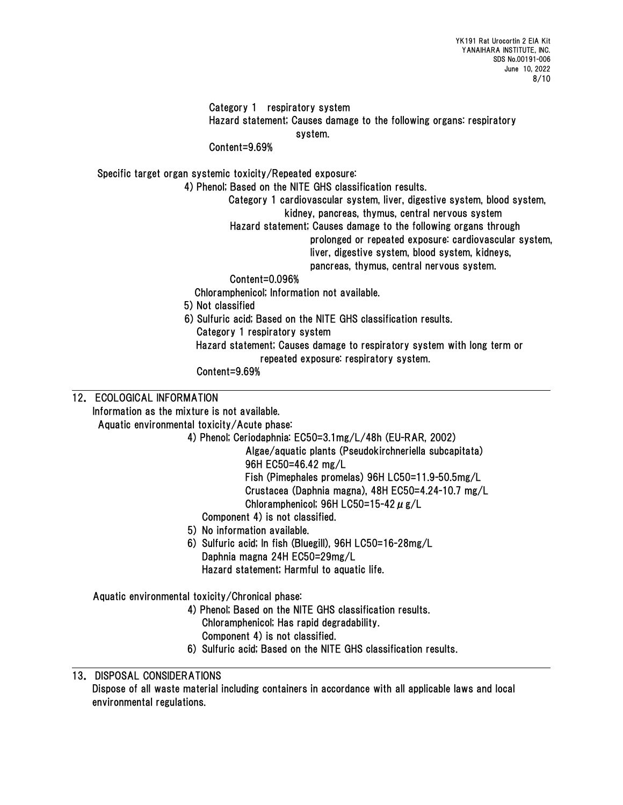## Category 1 respiratory system Hazard statement; Causes damage to the following organs: respiratory system.

## Content=9.69%

Specific target organ systemic toxicity/Repeated exposure:

4) Phenol; Based on the NITE GHS classification results.

Category 1 cardiovascular system, liver, digestive system, blood system, kidney, pancreas, thymus, central nervous system

Hazard statement; Causes damage to the following organs through

prolonged or repeated exposure: cardiovascular system,

liver, digestive system, blood system, kidneys,

pancreas, thymus, central nervous system.

## Content=0.096%

Chloramphenicol; Information not available.

- 5) Not classified
- 6) Sulfuric acid; Based on the NITE GHS classification results. Category 1 respiratory system Hazard statement; Causes damage to respiratory system with long term or

repeated exposure: respiratory system.

Content=9.69%

## 12. ECOLOGICAL INFORMATION

Information as the mixture is not available.

Aquatic environmental toxicity/Acute phase:

4) Phenol; Ceriodaphnia: EC50=3.1mg/L/48h (EU-RAR, 2002)

Algae/aquatic plants (Pseudokirchneriella subcapitata) 96H EC50=46.42 mg/L Fish (Pimephales promelas) 96H LC50=11.9-50.5mg/L Crustacea (Daphnia magna), 48H EC50=4.24-10.7 mg/L

Chloramphenicol; 96H LC50=15-42  $\mu$  g/L

- Component 4) is not classified.
- 5) No information available.
- 6) Sulfuric acid; In fish (Bluegill), 96H LC50=16-28mg/L Daphnia magna 24H EC50=29mg/L Hazard statement; Harmful to aquatic life.

Aquatic environmental toxicity/Chronical phase:

- 4) Phenol; Based on the NITE GHS classification results. Chloramphenicol; Has rapid degradability.
	- Component 4) is not classified.
- 6) Sulfuric acid; Based on the NITE GHS classification results.

## 13. DISPOSAL CONSIDERATIONS

Dispose of all waste material including containers in accordance with all applicable laws and local environmental regulations.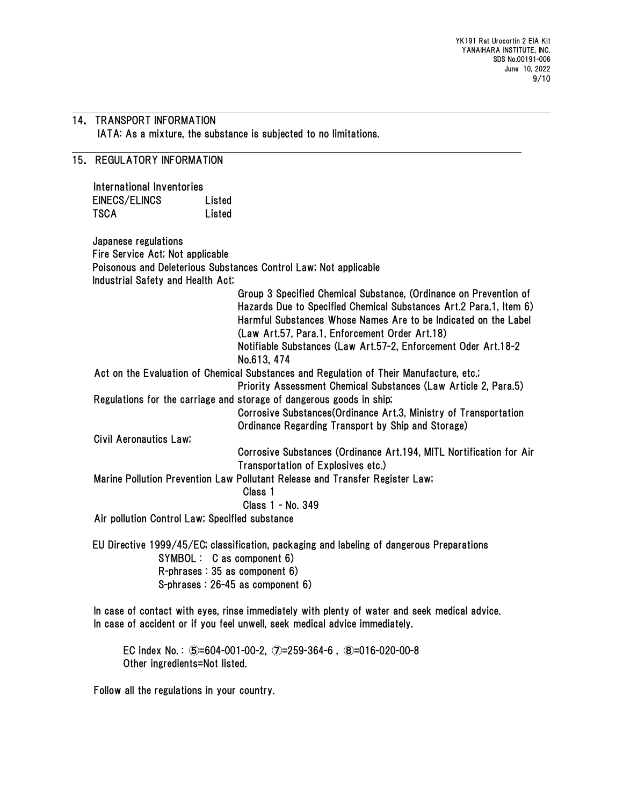## 14. TRANSPORT INFORMATION IATA: As a mixture, the substance is subjected to no limitations.

## 15. REGULATORY INFORMATION

International Inventories EINECS/ELINCS Listed TSCA Listed

Japanese regulations Fire Service Act; Not applicable Poisonous and Deleterious Substances Control Law; Not applicable Industrial Safety and Health Act; Group 3 Specified Chemical Substance, (Ordinance on Prevention of

Hazards Due to Specified Chemical Substances Art.2 Para.1, Item 6) Harmful Substances Whose Names Are to be Indicated on the Label (Law Art.57, Para.1, Enforcement Order Art.18) Notifiable Substances (Law Art.57-2, Enforcement Oder Art.18-2

No.613, 474

Act on the Evaluation of Chemical Substances and Regulation of Their Manufacture, etc.;

Priority Assessment Chemical Substances (Law Article 2, Para.5) Regulations for the carriage and storage of dangerous goods in ship;

Corrosive Substances(Ordinance Art.3, Ministry of Transportation Ordinance Regarding Transport by Ship and Storage)

Civil Aeronautics Law;

Corrosive Substances (Ordinance Art.194, MITL Nortification for Air Transportation of Explosives etc.)

Marine Pollution Prevention Law Pollutant Release and Transfer Register Law;

Class 1

Class 1 - No. 349

Air pollution Control Law; Specified substance

EU Directive 1999/45/EC; classification, packaging and labeling of dangerous Preparations SYMBOL : C as component 6) R-phrases : 35 as component 6) S-phrases : 26-45 as component 6)

In case of contact with eyes, rinse immediately with plenty of water and seek medical advice. In case of accident or if you feel unwell, seek medical advice immediately.

EC index No. : ⑤=604-001-00-2, ⑦=259-364-6 , ⑧=016-020-00-8 Other ingredients=Not listed.

Follow all the regulations in your country.